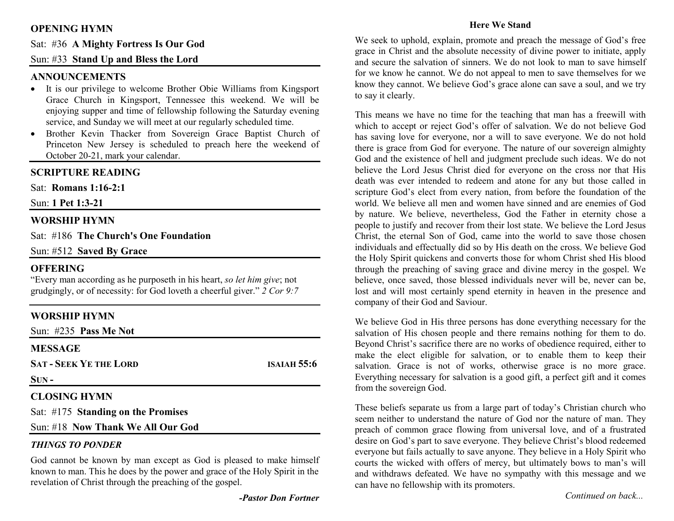# **OPENING HYMN**

Sat: #36 **A Mighty Fortress Is Our God** 

# Sun: #33 **Stand Up and Bless the Lord**

# **ANNOUNCEMENTS**

- It is our privilege to welcome Brother Obie Williams from Kingsport Grace Church in Kingsport, Tennessee this weekend. We will be enjoying supper and time of fellowship following the Saturday evening service, and Sunday we will meet at our regularly scheduled time.
- Brother Kevin Thacker from Sovereign Grace Baptist Church of •Princeton New Jersey is scheduled to preach here the weekend of October 20-21, mark your calendar.

## **SCRIPTURE READING**

Sat: **Romans 1:16-2:1**

Sun: **1 Pet 1:3-21** 

## **WORSHIP HYMN**

Sat: #186 **The Church's One Foundation**

Sun: #512 **Saved By Grace** 

## **OFFERING**

 "Every man according as he purposeth in his heart, *so let him give*; not grudgingly, or of necessity: for God loveth a cheerful giver." *2 Cor 9:7*

| <b>WORSHIP HYMN</b>                |                    |
|------------------------------------|--------------------|
| Sun: $\#235$ Pass Me Not           |                    |
| <b>MESSAGE</b>                     |                    |
| <b>SAT - SEEK YE THE LORD</b>      | <b>ISAIAH 55:6</b> |
| $SUN -$                            |                    |
| <b>CLOSING HYMN</b>                |                    |
| Sat: #175 Standing on the Promises |                    |

Sun: #18 **Now Thank We All Our God**

#### *THINGS TO PONDER*

God cannot be known by man except as God is pleased to make himself known to man. This he does by the power and grace of the Holy Spirit in the revelation of Christ through the preaching of the gospel.

#### **Here We Stand**

We seek to uphold, explain, promote and preach the message of God's free grace in Christ and the absolute necessity of divine power to initiate, apply and secure the salvation of sinners. We do not look to man to save himself for we know he cannot. We do not appeal to men to save themselves for we know they cannot. We believe God's grace alone can save a soul, and we try to say it clearly.

This means we have no time for the teaching that man has a freewill with which to accept or reject God's offer of salvation. We do not believe God has saving love for everyone, nor a will to save everyone. We do not hold there is grace from God for everyone. The nature of our sovereign almighty God and the existence of hell and judgment preclude such ideas. We do not believe the Lord Jesus Christ died for everyone on the cross nor that His death was ever intended to redeem and atone for any but those called in scripture God's elect from every nation, from before the foundation of the world. We believe all men and women have sinned and are enemies of God by nature. We believe, nevertheless, God the Father in eternity chose a people to justify and recover from their lost state. We believe the Lord Jesus Christ, the eternal Son of God, came into the world to save those chosen individuals and effectually did so by His death on the cross. We believe God the Holy Spirit quickens and converts those for whom Christ shed His blood through the preaching of saving grace and divine mercy in the gospel. We believe, once saved, those blessed individuals never will be, never can be, lost and will most certainly spend eternity in heaven in the presence and company of their God and Saviour.

We believe God in His three persons has done everything necessary for the salvation of His chosen people and there remains nothing for them to do. Beyond Christ's sacrifice there are no works of obedience required, either to make the elect eligible for salvation, or to enable them to keep their salvation. Grace is not of works, otherwise grace is no more grace. Everything necessary for salvation is a good gift, a perfect gift and it comes from the sovereign God.

These beliefs separate us from a large part of today's Christian church who seem neither to understand the nature of God nor the nature of man. They preach of common grace flowing from universal love, and of a frustrated desire on God's part to save everyone. They believe Christ's blood redeemed everyone but fails actually to save anyone. They believe in a Holy Spirit who courts the wicked with offers of mercy, but ultimately bows to man's will and withdraws defeated. We have no sympathy with this message and we can have no fellowship with its promoters.

*Continued on back...*